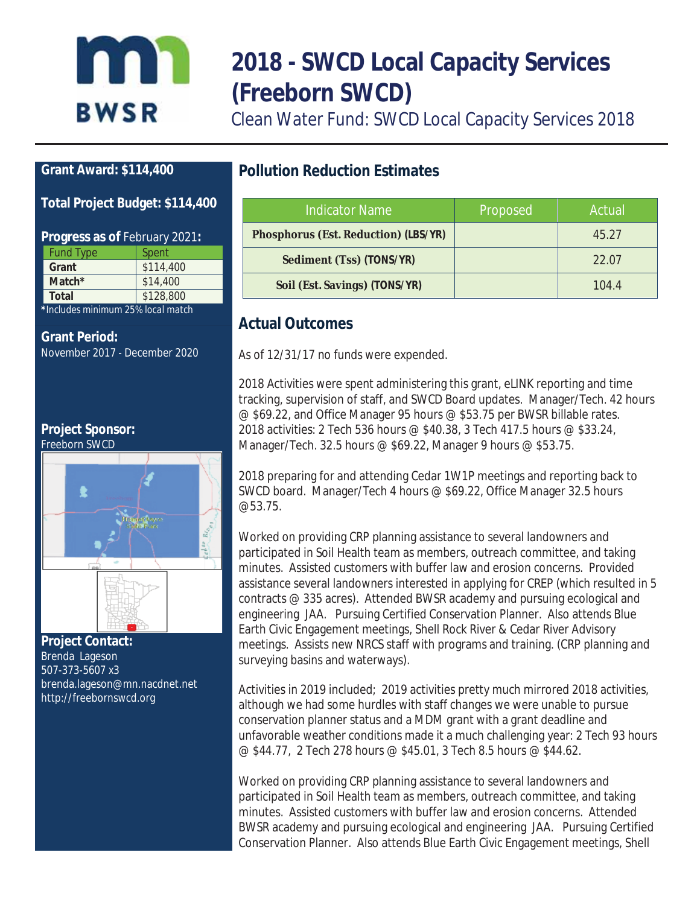# Inn **BWSR**

# **2018 - SWCD Local Capacity Services (Freeborn SWCD)**

Clean Water Fund: SWCD Local Capacity Services 2018

## **Grant Award: \$114,400**

### **Total Project Budget: \$114,400**

#### **Progress as of** February 2021**:**

| <b>Fund Type</b>                   | Spent     |  |
|------------------------------------|-----------|--|
| Grant                              | \$114,400 |  |
| Match $*$                          | \$14,400  |  |
| Total                              | \$128,800 |  |
| * Includes minimum 25% local match |           |  |

**\****Includes minimum 25% local match*

#### **Grant Period:**

November 2017 - December 2020

**Project Sponsor:**



**Project Contact:**  Brenda Lageson 507-373-5607 x3 brenda.lageson@mn.nacdnet.net http://freebornswcd.org

# **Pollution Reduction Estimates**

| <b>Indicator Name</b>                | Proposed | Actual |
|--------------------------------------|----------|--------|
| Phosphorus (Est. Reduction) (LBS/YR) |          | 45.27  |
| Sediment (Tss) (TONS/YR)             |          | 22.07  |
| Soil (Est. Savings) (TONS/YR)        |          | 104.4  |

# **Actual Outcomes**

As of 12/31/17 no funds were expended.

2018 Activities were spent administering this grant, eLINK reporting and time tracking, supervision of staff, and SWCD Board updates. Manager/Tech. 42 hours @ \$69.22, and Office Manager 95 hours @ \$53.75 per BWSR billable rates. 2018 activities: 2 Tech 536 hours @ \$40.38, 3 Tech 417.5 hours @ \$33.24, Manager/Tech. 32.5 hours @ \$69.22, Manager 9 hours @ \$53.75.

2018 preparing for and attending Cedar 1W1P meetings and reporting back to SWCD board. Manager/Tech 4 hours @ \$69.22, Office Manager 32.5 hours @53.75.

Worked on providing CRP planning assistance to several landowners and participated in Soil Health team as members, outreach committee, and taking minutes. Assisted customers with buffer law and erosion concerns. Provided assistance several landowners interested in applying for CREP (which resulted in 5 contracts @ 335 acres). Attended BWSR academy and pursuing ecological and engineering JAA. Pursuing Certified Conservation Planner. Also attends Blue Earth Civic Engagement meetings, Shell Rock River & Cedar River Advisory meetings. Assists new NRCS staff with programs and training. (CRP planning and surveying basins and waterways).

Activities in 2019 included; 2019 activities pretty much mirrored 2018 activities, although we had some hurdles with staff changes we were unable to pursue conservation planner status and a MDM grant with a grant deadline and unfavorable weather conditions made it a much challenging year: 2 Tech 93 hours @ \$44.77, 2 Tech 278 hours @ \$45.01, 3 Tech 8.5 hours @ \$44.62.

Worked on providing CRP planning assistance to several landowners and participated in Soil Health team as members, outreach committee, and taking minutes. Assisted customers with buffer law and erosion concerns. Attended BWSR academy and pursuing ecological and engineering JAA. Pursuing Certified Conservation Planner. Also attends Blue Earth Civic Engagement meetings, Shell